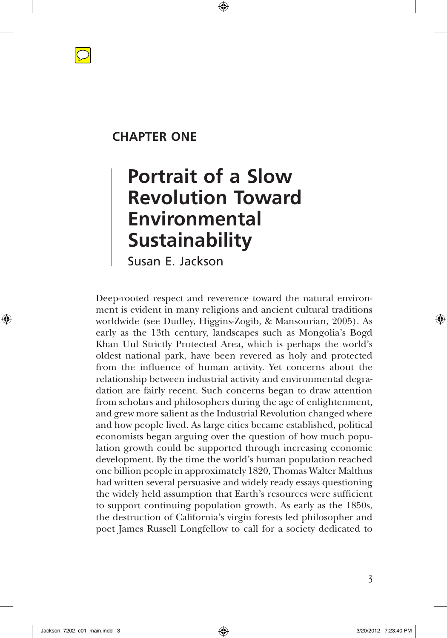# **CHAPTER ONE**

# **Portrait of a Slow Revolution Toward Environmental Sustainability**

⊕

Susan E. Jackson

Deep-rooted respect and reverence toward the natural environment is evident in many religions and ancient cultural traditions worldwide (see Dudley, Higgins-Zogib, & Mansourian, 2005). As early as the 13th century, landscapes such as Mongolia's Bogd Khan Uul Strictly Protected Area, which is perhaps the world's oldest national park, have been revered as holy and protected from the influence of human activity. Yet concerns about the relationship between industrial activity and environmental degradation are fairly recent. Such concerns began to draw attention from scholars and philosophers during the age of enlightenment, and grew more salient as the Industrial Revolution changed where and how people lived. As large cities became established, political economists began arguing over the question of how much population growth could be supported through increasing economic development. By the time the world's human population reached one billion people in approximately 1820, Thomas Walter Malthus had written several persuasive and widely ready essays questioning the widely held assumption that Earth's resources were sufficient to support continuing population growth. As early as the 1850s, the destruction of California's virgin forests led philosopher and poet James Russell Longfellow to call for a society dedicated to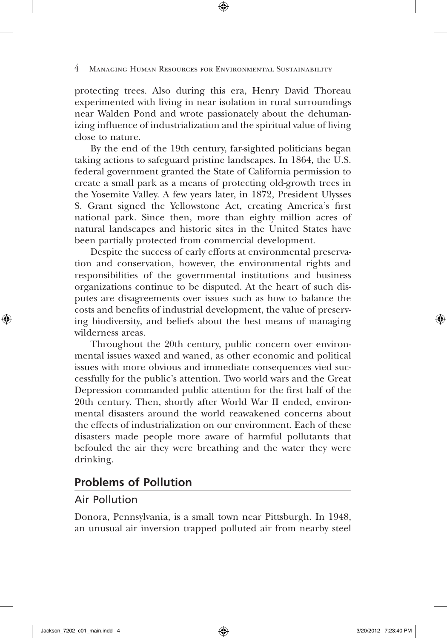protecting trees. Also during this era, Henry David Thoreau experimented with living in near isolation in rural surroundings near Walden Pond and wrote passionately about the dehumanizing influence of industrialization and the spiritual value of living close to nature.

⊕

By the end of the 19th century, far-sighted politicians began taking actions to safeguard pristine landscapes. In 1864, the U.S. federal government granted the State of California permission to create a small park as a means of protecting old-growth trees in the Yosemite Valley. A few years later, in 1872, President Ulysses S. Grant signed the Yellowstone Act, creating America's first national park. Since then, more than eighty million acres of natural landscapes and historic sites in the United States have been partially protected from commercial development.

Despite the success of early efforts at environmental preservation and conservation, however, the environmental rights and responsibilities of the governmental institutions and business organizations continue to be disputed. At the heart of such disputes are disagreements over issues such as how to balance the costs and benefits of industrial development, the value of preserving biodiversity, and beliefs about the best means of managing wilderness areas.

Throughout the 20th century, public concern over environmental issues waxed and waned, as other economic and political issues with more obvious and immediate consequences vied successfully for the public's attention. Two world wars and the Great Depression commanded public attention for the first half of the 20th century. Then, shortly after World War II ended, environmental disasters around the world reawakened concerns about the effects of industrialization on our environment. Each of these disasters made people more aware of harmful pollutants that befouled the air they were breathing and the water they were drinking.

# **Problems of Pollution**

### Air Pollution

↔

Donora, Pennsylvania, is a small town near Pittsburgh. In 1948, an unusual air inversion trapped polluted air from nearby steel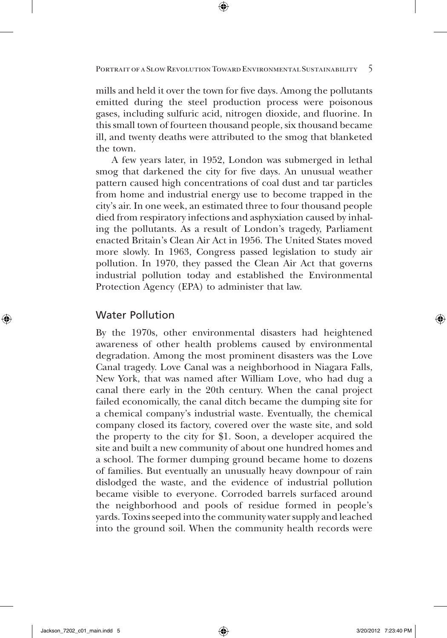mills and held it over the town for five days. Among the pollutants emitted during the steel production process were poisonous gases, including sulfuric acid, nitrogen dioxide, and fluorine. In this small town of fourteen thousand people, six thousand became ill, and twenty deaths were attributed to the smog that blanketed the town.

A few years later, in 1952, London was submerged in lethal smog that darkened the city for five days. An unusual weather pattern caused high concentrations of coal dust and tar particles from home and industrial energy use to become trapped in the city's air. In one week, an estimated three to four thousand people died from respiratory infections and asphyxiation caused by inhaling the pollutants. As a result of London's tragedy, Parliament enacted Britain's Clean Air Act in 1956. The United States moved more slowly. In 1963, Congress passed legislation to study air pollution. In 1970, they passed the Clean Air Act that governs industrial pollution today and established the Environmental Protection Agency (EPA) to administer that law.

# Water Pollution

⊕

By the 1970s, other environmental disasters had heightened awareness of other health problems caused by environmental degradation. Among the most prominent disasters was the Love Canal tragedy. Love Canal was a neighborhood in Niagara Falls, New York, that was named after William Love, who had dug a canal there early in the 20th century. When the canal project failed economically, the canal ditch became the dumping site for a chemical company's industrial waste. Eventually, the chemical company closed its factory, covered over the waste site, and sold the property to the city for \$1. Soon, a developer acquired the site and built a new community of about one hundred homes and a school. The former dumping ground became home to dozens of families. But eventually an unusually heavy downpour of rain dislodged the waste, and the evidence of industrial pollution became visible to everyone. Corroded barrels surfaced around the neighborhood and pools of residue formed in people's yards. Toxins seeped into the community water supply and leached into the ground soil. When the community health records were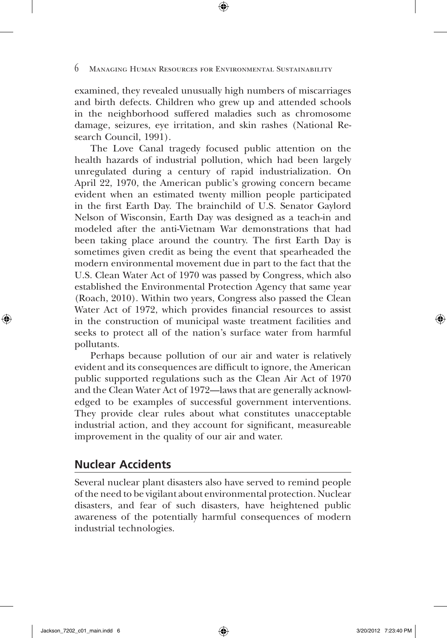examined, they revealed unusually high numbers of miscarriages and birth defects. Children who grew up and attended schools in the neighborhood suffered maladies such as chromosome damage, seizures, eye irritation, and skin rashes (National Research Council, 1991).

⊕

The Love Canal tragedy focused public attention on the health hazards of industrial pollution, which had been largely unregulated during a century of rapid industrialization. On April 22, 1970, the American public's growing concern became evident when an estimated twenty million people participated in the first Earth Day. The brainchild of U.S. Senator Gaylord Nelson of Wisconsin, Earth Day was designed as a teach-in and modeled after the anti-Vietnam War demonstrations that had been taking place around the country. The first Earth Day is sometimes given credit as being the event that spearheaded the modern environmental movement due in part to the fact that the U.S. Clean Water Act of 1970 was passed by Congress, which also established the Environmental Protection Agency that same year (Roach, 2010). Within two years, Congress also passed the Clean Water Act of 1972, which provides financial resources to assist in the construction of municipal waste treatment facilities and seeks to protect all of the nation's surface water from harmful pollutants.

Perhaps because pollution of our air and water is relatively evident and its consequences are difficult to ignore, the American public supported regulations such as the Clean Air Act of 1970 and the Clean Water Act of 1972—laws that are generally acknowledged to be examples of successful government interventions. They provide clear rules about what constitutes unacceptable industrial action, and they account for significant, measureable improvement in the quality of our air and water.

# **Nuclear Accidents**

Several nuclear plant disasters also have served to remind people of the need to be vigilant about environmental protection. Nuclear disasters, and fear of such disasters, have heightened public awareness of the potentially harmful consequences of modern industrial technologies.

↔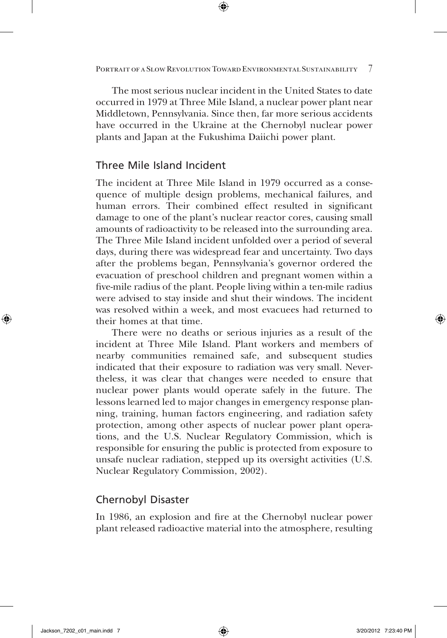The most serious nuclear incident in the United States to date occurred in 1979 at Three Mile Island, a nuclear power plant near Middletown, Pennsylvania. Since then, far more serious accidents have occurred in the Ukraine at the Chernobyl nuclear power plants and Japan at the Fukushima Daiichi power plant.

# Three Mile Island Incident

The incident at Three Mile Island in 1979 occurred as a consequence of multiple design problems, mechanical failures, and human errors. Their combined effect resulted in significant damage to one of the plant's nuclear reactor cores, causing small amounts of radioactivity to be released into the surrounding area. The Three Mile Island incident unfolded over a period of several days, during there was widespread fear and uncertainty. Two days after the problems began, Pennsylvania's governor ordered the evacuation of preschool children and pregnant women within a five-mile radius of the plant. People living within a ten-mile radius were advised to stay inside and shut their windows. The incident was resolved within a week, and most evacuees had returned to their homes at that time.

There were no deaths or serious injuries as a result of the incident at Three Mile Island. Plant workers and members of nearby communities remained safe, and subsequent studies indicated that their exposure to radiation was very small. Nevertheless, it was clear that changes were needed to ensure that nuclear power plants would operate safely in the future. The lessons learned led to major changes in emergency response planning, training, human factors engineering, and radiation safety protection, among other aspects of nuclear power plant operations, and the U.S. Nuclear Regulatory Commission, which is responsible for ensuring the public is protected from exposure to unsafe nuclear radiation, stepped up its oversight activities (U.S. Nuclear Regulatory Commission, 2002).

### Chernobyl Disaster

In 1986, an explosion and fire at the Chernobyl nuclear power plant released radioactive material into the atmosphere, resulting

⊕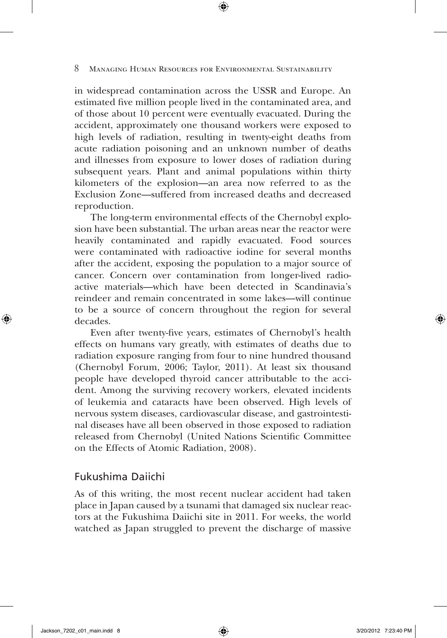⊕

in widespread contamination across the USSR and Europe. An estimated five million people lived in the contaminated area, and of those about 10 percent were eventually evacuated. During the accident, approximately one thousand workers were exposed to high levels of radiation, resulting in twenty-eight deaths from acute radiation poisoning and an unknown number of deaths and illnesses from exposure to lower doses of radiation during subsequent years. Plant and animal populations within thirty kilometers of the explosion—an area now referred to as the Exclusion Zone—suffered from increased deaths and decreased reproduction.

The long-term environmental effects of the Chernobyl explosion have been substantial. The urban areas near the reactor were heavily contaminated and rapidly evacuated. Food sources were contaminated with radioactive iodine for several months after the accident, exposing the population to a major source of cancer. Concern over contamination from longer-lived radioactive materials—which have been detected in Scandinavia's reindeer and remain concentrated in some lakes—will continue to be a source of concern throughout the region for several decades.

Even after twenty-five years, estimates of Chernobyl's health effects on humans vary greatly, with estimates of deaths due to radiation exposure ranging from four to nine hundred thousand (Chernobyl Forum, 2006; Taylor, 2011). At least six thousand people have developed thyroid cancer attributable to the accident. Among the surviving recovery workers, elevated incidents of leukemia and cataracts have been observed. High levels of nervous system diseases, cardiovascular disease, and gastrointestinal diseases have all been observed in those exposed to radiation released from Chernobyl (United Nations Scientific Committee on the Effects of Atomic Radiation, 2008).

### Fukushima Daiichi

As of this writing, the most recent nuclear accident had taken place in Japan caused by a tsunami that damaged six nuclear reactors at the Fukushima Daiichi site in 2011. For weeks, the world watched as Japan struggled to prevent the discharge of massive

↔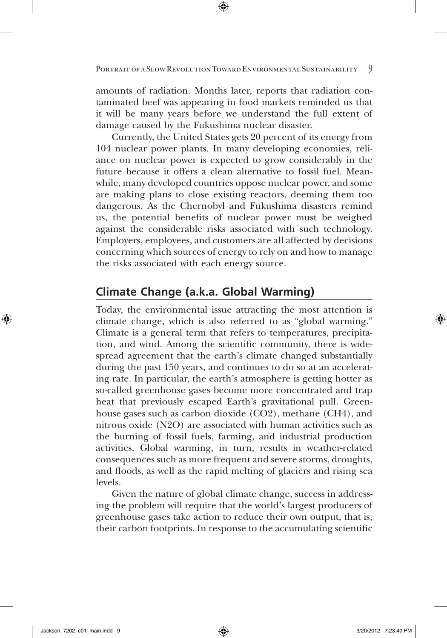amounts of radiation. Months later, reports that radiation contaminated beef was appearing in food markets reminded us that it will be many years before we understand the full extent of damage caused by the Fukushima nuclear disaster.

Currently, the United States gets 20 percent of its energy from 104 nuclear power plants. In many developing economies, reliance on nuclear power is expected to grow considerably in the future because it offers a clean alternative to fossil fuel. Meanwhile, many developed countries oppose nuclear power, and some are making plans to close existing reactors, deeming them too dangerous. As the Chernobyl and Fukushima disasters remind us, the potential benefits of nuclear power must be weighed against the considerable risks associated with such technology. Employers, employees, and customers are all affected by decisions concerning which sources of energy to rely on and how to manage the risks associated with each energy source.

# **Climate Change (a.k.a. Global Warming)**

Today, the environmental issue attracting the most attention is climate change, which is also referred to as "global warming." Climate is a general term that refers to temperatures, precipitation, and wind. Among the scientific community, there is widespread agreement that the earth's climate changed substantially during the past 150 years, and continues to do so at an accelerating rate. In particular, the earth's atmosphere is getting hotter as so-called greenhouse gases become more concentrated and trap heat that previously escaped Earth's gravitational pull. Greenhouse gases such as carbon dioxide (CO2), methane (CH4), and nitrous oxide (N2O) are associated with human activities such as the burning of fossil fuels, farming, and industrial production activities. Global warming, in turn, results in weather-related consequences such as more frequent and severe storms, droughts, and floods, as well as the rapid melting of glaciers and rising sea levels.

Given the nature of global climate change, success in addressing the problem will require that the world's largest producers of greenhouse gases take action to reduce their own output, that is, their carbon footprints. In response to the accumulating scientific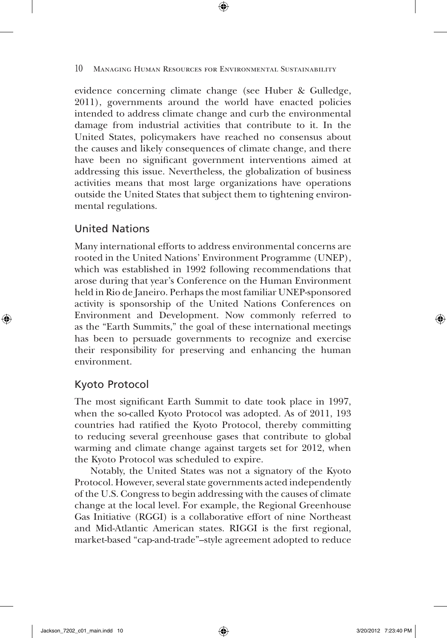⊕

evidence concerning climate change (see Huber & Gulledge, 2011), governments around the world have enacted policies intended to address climate change and curb the environmental damage from industrial activities that contribute to it. In the United States, policymakers have reached no consensus about the causes and likely consequences of climate change, and there have been no significant government interventions aimed at addressing this issue. Nevertheless, the globalization of business activities means that most large organizations have operations outside the United States that subject them to tightening environmental regulations.

## United Nations

Many international efforts to address environmental concerns are rooted in the United Nations' Environment Programme (UNEP), which was established in 1992 following recommendations that arose during that year's Conference on the Human Environment held in Rio de Janeiro. Perhaps the most familiar UNEP-sponsored activity is sponsorship of the United Nations Conferences on Environment and Development. Now commonly referred to as the "Earth Summits," the goal of these international meetings has been to persuade governments to recognize and exercise their responsibility for preserving and enhancing the human environment.

### Kyoto Protocol

↔

The most significant Earth Summit to date took place in 1997, when the so-called Kyoto Protocol was adopted. As of 2011, 193 countries had ratified the Kyoto Protocol, thereby committing to reducing several greenhouse gases that contribute to global warming and climate change against targets set for 2012, when the Kyoto Protocol was scheduled to expire.

Notably, the United States was not a signatory of the Kyoto Protocol. However, several state governments acted independently of the U.S. Congress to begin addressing with the causes of climate change at the local level. For example, the Regional Greenhouse Gas Initiative (RGGI) is a collaborative effort of nine Northeast and Mid-Atlantic American states. RIGGI is the first regional, market-based "cap-and-trade"–style agreement adopted to reduce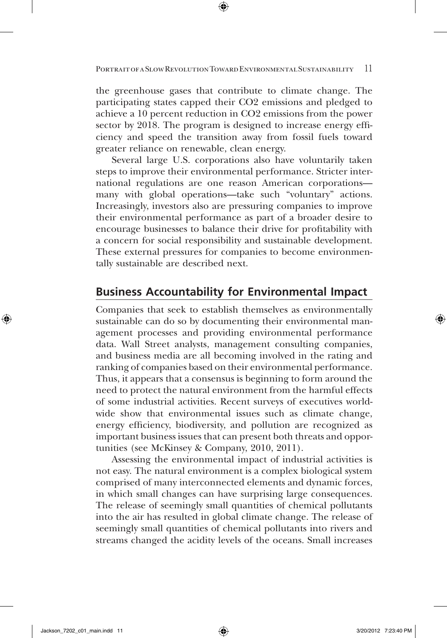the greenhouse gases that contribute to climate change. The participating states capped their CO2 emissions and pledged to achieve a 10 percent reduction in CO2 emissions from the power sector by 2018. The program is designed to increase energy efficiency and speed the transition away from fossil fuels toward greater reliance on renewable, clean energy.

Several large U.S. corporations also have voluntarily taken steps to improve their environmental performance. Stricter international regulations are one reason American corporations many with global operations—take such "voluntary" actions. Increasingly, investors also are pressuring companies to improve their environmental performance as part of a broader desire to encourage businesses to balance their drive for profitability with a concern for social responsibility and sustainable development. These external pressures for companies to become environmentally sustainable are described next.

# **Business Accountability for Environmental Impact**

Companies that seek to establish themselves as environmentally sustainable can do so by documenting their environmental management processes and providing environmental performance data. Wall Street analysts, management consulting companies, and business media are all becoming involved in the rating and ranking of companies based on their environmental performance. Thus, it appears that a consensus is beginning to form around the need to protect the natural environment from the harmful effects of some industrial activities. Recent surveys of executives worldwide show that environmental issues such as climate change, energy efficiency, biodiversity, and pollution are recognized as important business issues that can present both threats and opportunities (see McKinsey & Company, 2010, 2011).

Assessing the environmental impact of industrial activities is not easy. The natural environment is a complex biological system comprised of many interconnected elements and dynamic forces, in which small changes can have surprising large consequences. The release of seemingly small quantities of chemical pollutants into the air has resulted in global climate change. The release of seemingly small quantities of chemical pollutants into rivers and streams changed the acidity levels of the oceans. Small increases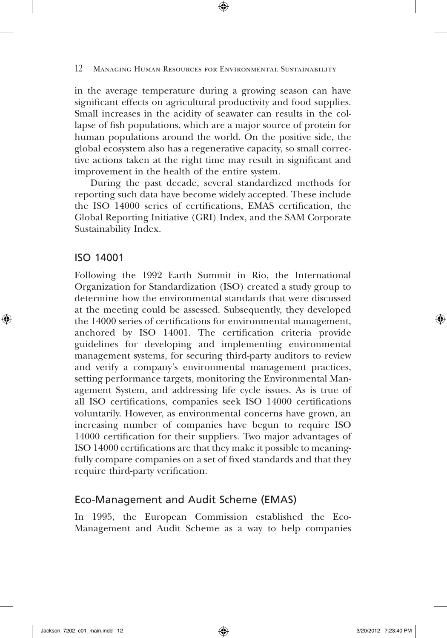⊕

in the average temperature during a growing season can have significant effects on agricultural productivity and food supplies. Small increases in the acidity of seawater can results in the collapse of fish populations, which are a major source of protein for human populations around the world. On the positive side, the global ecosystem also has a regenerative capacity, so small corrective actions taken at the right time may result in significant and improvement in the health of the entire system.

During the past decade, several standardized methods for reporting such data have become widely accepted. These include the ISO 14000 series of certifications, EMAS certification, the Global Reporting Initiative (GRI) Index, and the SAM Corporate Sustainability Index.

### ISO 14001

↔

Following the 1992 Earth Summit in Rio, the International Organization for Standardization (ISO) created a study group to determine how the environmental standards that were discussed at the meeting could be assessed. Subsequently, they developed the 14000 series of certifications for environmental management, anchored by ISO 14001. The certification criteria provide guidelines for developing and implementing environmental management systems, for securing third-party auditors to review and verify a company's environmental management practices, setting performance targets, monitoring the Environmental Management System, and addressing life cycle issues. As is true of all ISO certifications, companies seek ISO 14000 certifications voluntarily. However, as environmental concerns have grown, an increasing number of companies have begun to require ISO 14000 certification for their suppliers. Two major advantages of ISO 14000 certifications are that they make it possible to meaningfully compare companies on a set of fixed standards and that they require third-party verification.

### Eco-Management and Audit Scheme (EMAS)

In 1995, the European Commission established the Eco-Management and Audit Scheme as a way to help companies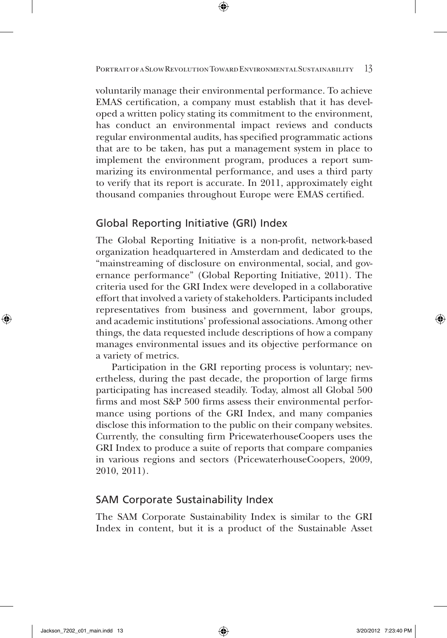voluntarily manage their environmental performance. To achieve EMAS certification, a company must establish that it has developed a written policy stating its commitment to the environment, has conduct an environmental impact reviews and conducts regular environmental audits, has specified programmatic actions that are to be taken, has put a management system in place to implement the environment program, produces a report summarizing its environmental performance, and uses a third party to verify that its report is accurate. In 2011, approximately eight thousand companies throughout Europe were EMAS certified.

# Global Reporting Initiative (GRI) Index

The Global Reporting Initiative is a non-profit, network-based organization headquartered in Amsterdam and dedicated to the "mainstreaming of disclosure on environmental, social, and governance performance" (Global Reporting Initiative, 2011). The criteria used for the GRI Index were developed in a collaborative effort that involved a variety of stakeholders. Participants included representatives from business and government, labor groups, and academic institutions' professional associations. Among other things, the data requested include descriptions of how a company manages environmental issues and its objective performance on a variety of metrics.

Participation in the GRI reporting process is voluntary; nevertheless, during the past decade, the proportion of large firms participating has increased steadily. Today, almost all Global 500 firms and most S&P 500 firms assess their environmental performance using portions of the GRI Index, and many companies disclose this information to the public on their company websites. Currently, the consulting firm PricewaterhouseCoopers uses the GRI Index to produce a suite of reports that compare companies in various regions and sectors (PricewaterhouseCoopers, 2009, 2010, 2011).

# SAM Corporate Sustainability Index

The SAM Corporate Sustainability Index is similar to the GRI Index in content, but it is a product of the Sustainable Asset

⊕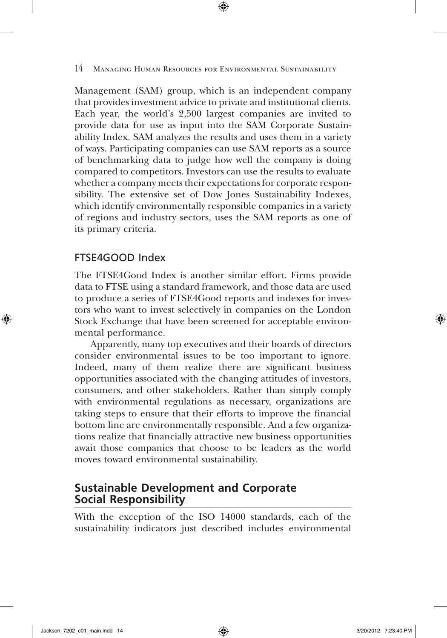⊕

Management (SAM) group, which is an independent company that provides investment advice to private and institutional clients. Each year, the world's 2,500 largest companies are invited to provide data for use as input into the SAM Corporate Sustainability Index. SAM analyzes the results and uses them in a variety of ways. Participating companies can use SAM reports as a source of benchmarking data to judge how well the company is doing compared to competitors. Investors can use the results to evaluate whether a company meets their expectations for corporate responsibility. The extensive set of Dow Jones Sustainability Indexes, which identify environmentally responsible companies in a variety of regions and industry sectors, uses the SAM reports as one of its primary criteria.

### FTSE4GOOD Index

↔

The FTSE4Good Index is another similar effort. Firms provide data to FTSE using a standard framework, and those data are used to produce a series of FTSE4Good reports and indexes for investors who want to invest selectively in companies on the London Stock Exchange that have been screened for acceptable environmental performance.

Apparently, many top executives and their boards of directors consider environmental issues to be too important to ignore. Indeed, many of them realize there are significant business opportunities associated with the changing attitudes of investors, consumers, and other stakeholders. Rather than simply comply with environmental regulations as necessary, organizations are taking steps to ensure that their efforts to improve the financial bottom line are environmentally responsible. And a few organizations realize that financially attractive new business opportunities await those companies that choose to be leaders as the world moves toward environmental sustainability.

# **Sustainable Development and Corporate Social Responsibility**

With the exception of the ISO 14000 standards, each of the sustainability indicators just described includes environmental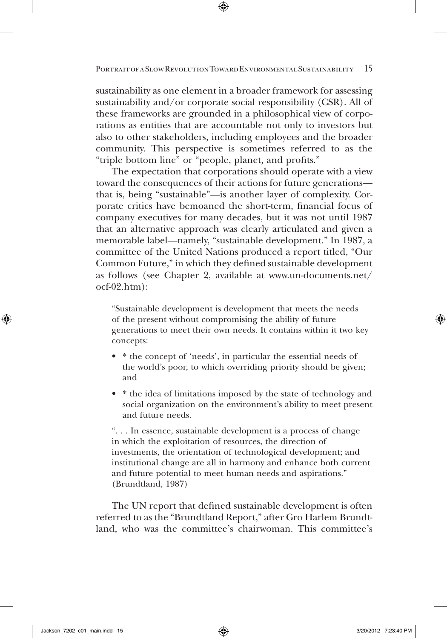sustainability as one element in a broader framework for assessing sustainability and/or corporate social responsibility (CSR). All of these frameworks are grounded in a philosophical view of corporations as entities that are accountable not only to investors but also to other stakeholders, including employees and the broader community. This perspective is sometimes referred to as the "triple bottom line" or "people, planet, and profits."

The expectation that corporations should operate with a view toward the consequences of their actions for future generations that is, being "sustainable"—is another layer of complexity. Corporate critics have bemoaned the short-term, financial focus of company executives for many decades, but it was not until 1987 that an alternative approach was clearly articulated and given a memorable label—namely, "sustainable development." In 1987, a committee of the United Nations produced a report titled, "Our Common Future," in which they defined sustainable development as follows (see Chapter 2, available at www.un-documents.net/ ocf-02.htm):

"Sustainable development is development that meets the needs of the present without compromising the ability of future generations to meet their own needs. It contains within it two key concepts:

- \* the concept of 'needs', in particular the essential needs of the world's poor, to which overriding priority should be given; and
- \* the idea of limitations imposed by the state of technology and social organization on the environment's ability to meet present and future needs.

". . . In essence, sustainable development is a process of change in which the exploitation of resources, the direction of investments, the orientation of technological development; and institutional change are all in harmony and enhance both current and future potential to meet human needs and aspirations." (Brundtland, 1987)

The UN report that defined sustainable development is often referred to as the "Brundtland Report," after Gro Harlem Brundtland, who was the committee's chairwoman. This committee's

⊕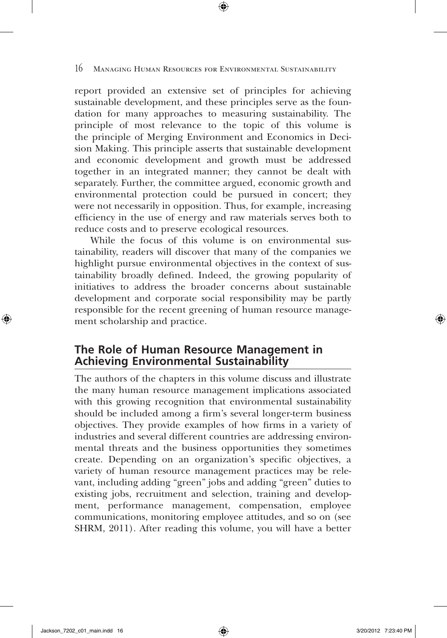⊕

report provided an extensive set of principles for achieving sustainable development, and these principles serve as the foundation for many approaches to measuring sustainability. The principle of most relevance to the topic of this volume is the principle of Merging Environment and Economics in Decision Making. This principle asserts that sustainable development and economic development and growth must be addressed together in an integrated manner; they cannot be dealt with separately. Further, the committee argued, economic growth and environmental protection could be pursued in concert; they were not necessarily in opposition. Thus, for example, increasing efficiency in the use of energy and raw materials serves both to reduce costs and to preserve ecological resources.

While the focus of this volume is on environmental sustainability, readers will discover that many of the companies we highlight pursue environmental objectives in the context of sustainability broadly defined. Indeed, the growing popularity of initiatives to address the broader concerns about sustainable development and corporate social responsibility may be partly responsible for the recent greening of human resource management scholarship and practice.

# **The Role of Human Resource Management in Achieving Environmental Sustainability**

The authors of the chapters in this volume discuss and illustrate the many human resource management implications associated with this growing recognition that environmental sustainability should be included among a firm's several longer-term business objectives. They provide examples of how firms in a variety of industries and several different countries are addressing environmental threats and the business opportunities they sometimes create. Depending on an organization's specific objectives, a variety of human resource management practices may be relevant, including adding "green" jobs and adding "green" duties to existing jobs, recruitment and selection, training and development, performance management, compensation, employee communications, monitoring employee attitudes, and so on (see SHRM, 2011). After reading this volume, you will have a better

↔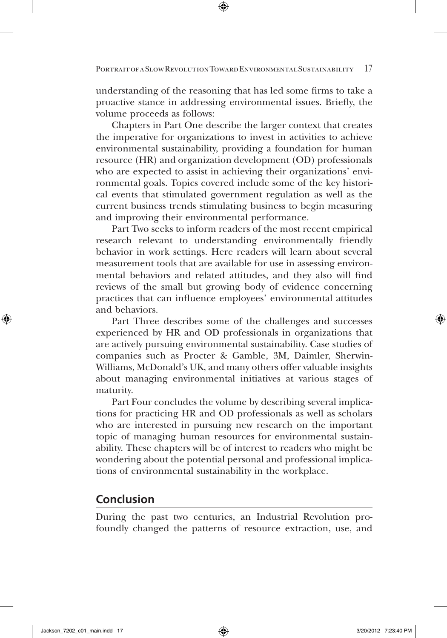understanding of the reasoning that has led some firms to take a proactive stance in addressing environmental issues. Briefly, the volume proceeds as follows:

Chapters in Part One describe the larger context that creates the imperative for organizations to invest in activities to achieve environmental sustainability, providing a foundation for human resource (HR) and organization development (OD) professionals who are expected to assist in achieving their organizations' environmental goals. Topics covered include some of the key historical events that stimulated government regulation as well as the current business trends stimulating business to begin measuring and improving their environmental performance.

Part Two seeks to inform readers of the most recent empirical research relevant to understanding environmentally friendly behavior in work settings. Here readers will learn about several measurement tools that are available for use in assessing environmental behaviors and related attitudes, and they also will find reviews of the small but growing body of evidence concerning practices that can influence employees' environmental attitudes and behaviors.

Part Three describes some of the challenges and successes experienced by HR and OD professionals in organizations that are actively pursuing environmental sustainability. Case studies of companies such as Procter & Gamble, 3M, Daimler, Sherwin-Williams, McDonald's UK, and many others offer valuable insights about managing environmental initiatives at various stages of maturity.

Part Four concludes the volume by describing several implications for practicing HR and OD professionals as well as scholars who are interested in pursuing new research on the important topic of managing human resources for environmental sustainability. These chapters will be of interest to readers who might be wondering about the potential personal and professional implications of environmental sustainability in the workplace.

# **Conclusion**

During the past two centuries, an Industrial Revolution profoundly changed the patterns of resource extraction, use, and

⊕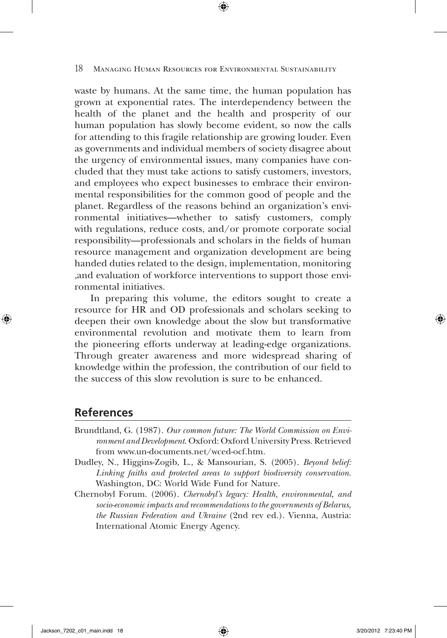⊕

waste by humans. At the same time, the human population has grown at exponential rates. The interdependency between the health of the planet and the health and prosperity of our human population has slowly become evident, so now the calls for attending to this fragile relationship are growing louder. Even as governments and individual members of society disagree about the urgency of environmental issues, many companies have concluded that they must take actions to satisfy customers, investors, and employees who expect businesses to embrace their environmental responsibilities for the common good of people and the planet. Regardless of the reasons behind an organization's environmental initiatives—whether to satisfy customers, comply with regulations, reduce costs, and/or promote corporate social responsibility—professionals and scholars in the fields of human resource management and organization development are being handed duties related to the design, implementation, monitoring ,and evaluation of workforce interventions to support those environmental initiatives.

In preparing this volume, the editors sought to create a resource for HR and OD professionals and scholars seeking to deepen their own knowledge about the slow but transformative environmental revolution and motivate them to learn from the pioneering efforts underway at leading-edge organizations. Through greater awareness and more widespread sharing of knowledge within the profession, the contribution of our field to the success of this slow revolution is sure to be enhanced.

# **References**

↔

- Brundtland, G. (1987). *Our common future: The World Commission on Environment and Development*. Oxford: Oxford University Press. Retrieved from www.un-documents.net/wced-ocf.htm.
- Dudley, N., Higgins-Zogib, L., & Mansourian, S. (2005). *Beyond belief: Linking faiths and protected areas to support biodiversity conservation*. Washington, DC: World Wide Fund for Nature.
- Chernobyl Forum. (2006). *Chernobyl's legacy: Health, environmental, and socio-economic impacts and recommendations to the governments of Belarus, the Russian Federation and Ukraine* (2nd rev ed.). Vienna, Austria: International Atomic Energy Agency.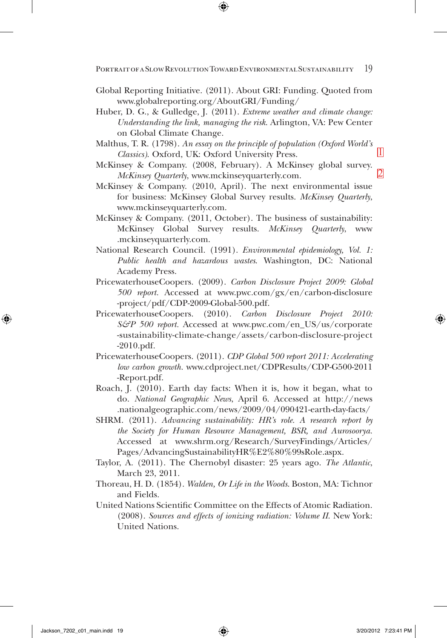- Global Reporting Initiative. (2011). About GRI: Funding. Quoted from www.globalreporting.org/AboutGRI/Funding/
- Huber, D. G., & Gulledge, J. (2011). *Extreme weather and climate change: Understanding the link, managing the risk*. Arlington, VA: Pew Center on Global Climate Change.
- Malthus, T. R. (1798). *An essay on the principle of population (Oxford World's Classics)*. Oxford, UK: Oxford University Press.
- McKinsey & Company. (2008, February). A McKinsey global survey. *McKinsey Quarterly*, www.mckinseyquarterly.com.
- McKinsey & Company. (2010, April). The next environmental issue for business: McKinsey Global Survey results. *McKinsey Quarterly*, www.mckinseyquarterly.com.
- McKinsey & Company. (2011, October). The business of sustainability: McKinsey Global Survey results. *McKinsey Quarterly*, .mckinseyquarterly.com.
- National Research Council. (1991). *Environmental epidemiology, Vol. 1: Public health and hazardous wastes*. Washington, DC: National Academy Press.
- PricewaterhouseCoopers. (2009). *Carbon Disclosure Project 2009: Global 500 report.* Accessed at www.pwc.com/gx/en/carbon-disclosure -project/pdf/CDP-2009-Global-500.pdf.
- PricewaterhouseCoopers. (2010). *Carbon Disclosure Project 2010: S&P 500 report.* Accessed at www.pwc.com/en\_US/us/corporate -sustainability-climate-change/assets/carbon-disclosure-project -2010.pdf.
- PricewaterhouseCoopers. (2011). *CDP Global 500 report 2011: Accelerating low carbon growth.* www.cdproject.net/CDPResults/CDP-G500-2011 -Report.pdf.
- Roach, J. (2010). Earth day facts: When it is, how it began, what to do. *National Geographic News*, April 6. Accessed at http://news .nationalgeographic.com/news/2009/04/090421-earth-day-facts/
- SHRM. (2011). *Advancing sustainability: HR's role. A research report by the Society for Human Resource Management, BSR, and Aurosoorya.* Accessed at www.shrm.org/Research/SurveyFindings/Articles/ Pages/AdvancingSustainabilityHR%E2%80%99sRole.aspx.
- Taylor, A. (2011). The Chernobyl disaster: 25 years ago. *The Atlantic*, March 23, 2011.
- Thoreau, H. D. (1854). *Walden, Or Life in the Woods*. Boston, MA: Tichnor and Fields.
- United Nations Scientific Committee on the Effects of Atomic Radiation. (2008). *Sources and effects of ionizing radiation: Volume II*. New York: United Nations.

⊕

1 2